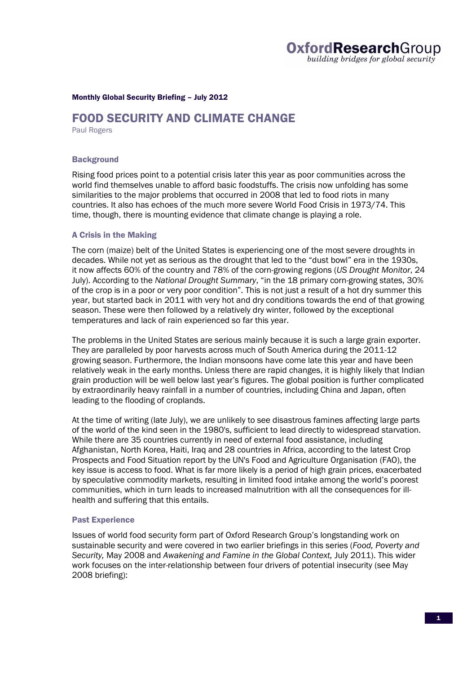

#### Monthly Global Security Briefing – July 2012

# FOOD SECURITY AND CLIMATE CHANGE

Paul Rogers

#### **Background**

Rising food prices point to a potential crisis later this year as poor communities across the world find themselves unable to afford basic foodstuffs. The crisis now unfolding has some similarities to the major problems that occurred in 2008 that led to food riots in many countries. It also has echoes of the much more severe World Food Crisis in 1973/74. This time, though, there is mounting evidence that climate change is playing a role.

#### A Crisis in the Making

The corn (maize) belt of the United States is experiencing one of the most severe droughts in decades. While not yet as serious as the drought that led to the "dust bowl" era in the 1930s, it now affects 60% of the country and 78% of the corn-growing regions (*US Drought Monitor*, 24 July). According to the *National Drought Summary*, "in the 18 primary corn-growing states, 30% of the crop is in a poor or very poor condition". This is not just a result of a hot dry summer this year, but started back in 2011 with very hot and dry conditions towards the end of that growing season. These were then followed by a relatively dry winter, followed by the exceptional temperatures and lack of rain experienced so far this year.

The problems in the United States are serious mainly because it is such a large grain exporter. They are paralleled by poor harvests across much of South America during the 2011-12 growing season. Furthermore, the Indian monsoons have come late this year and have been relatively weak in the early months. Unless there are rapid changes, it is highly likely that Indian grain production will be well below last year's figures. The global position is further complicated by extraordinarily heavy rainfall in a number of countries, including China and Japan, often leading to the flooding of croplands.

At the time of writing (late July), we are unlikely to see disastrous famines affecting large parts of the world of the kind seen in the 1980's, sufficient to lead directly to widespread starvation. While there are 35 countries currently in need of external food assistance, including Afghanistan, North Korea, Haiti, Iraq and 28 countries in Africa, according to the latest Crop Prospects and Food Situation report by the UN's Food and Agriculture Organisation (FAO), the key issue is access to food. What is far more likely is a period of high grain prices, exacerbated by speculative commodity markets, resulting in limited food intake among the world's poorest communities, which in turn leads to increased malnutrition with all the consequences for illhealth and suffering that this entails.

### Past Experience

Issues of world food security form part of Oxford Research Group's longstanding work on sustainable security and were covered in two earlier briefings in this series (*Food, Poverty and Security,* May 2008 and *Awakening and Famine in the Global Context,* July 2011). This wider work focuses on the inter-relationship between four drivers of potential insecurity (see May 2008 briefing):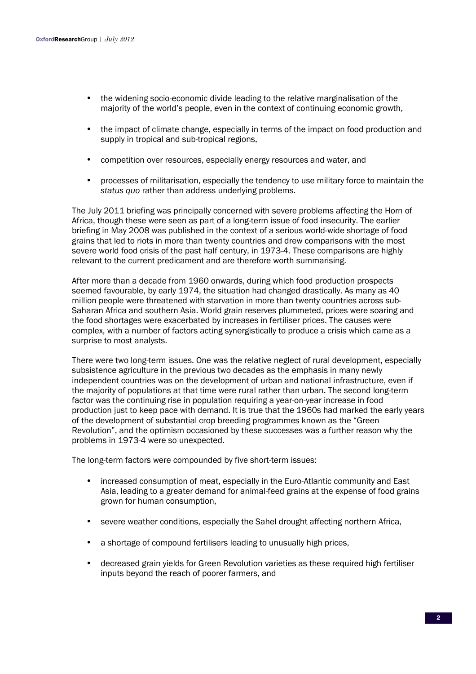- the widening socio-economic divide leading to the relative marginalisation of the majority of the world's people, even in the context of continuing economic growth,
- the impact of climate change, especially in terms of the impact on food production and supply in tropical and sub-tropical regions,
- competition over resources, especially energy resources and water, and
- processes of militarisation, especially the tendency to use military force to maintain the *status quo* rather than address underlying problems.

The July 2011 briefing was principally concerned with severe problems affecting the Horn of Africa, though these were seen as part of a long-term issue of food insecurity. The earlier briefing in May 2008 was published in the context of a serious world-wide shortage of food grains that led to riots in more than twenty countries and drew comparisons with the most severe world food crisis of the past half century, in 1973-4. These comparisons are highly relevant to the current predicament and are therefore worth summarising.

After more than a decade from 1960 onwards, during which food production prospects seemed favourable, by early 1974, the situation had changed drastically. As many as 40 million people were threatened with starvation in more than twenty countries across sub-Saharan Africa and southern Asia. World grain reserves plummeted, prices were soaring and the food shortages were exacerbated by increases in fertiliser prices. The causes were complex, with a number of factors acting synergistically to produce a crisis which came as a surprise to most analysts.

There were two long-term issues. One was the relative neglect of rural development, especially subsistence agriculture in the previous two decades as the emphasis in many newly independent countries was on the development of urban and national infrastructure, even if the majority of populations at that time were rural rather than urban. The second long-term factor was the continuing rise in population requiring a year-on-year increase in food production just to keep pace with demand. It is true that the 1960s had marked the early years of the development of substantial crop breeding programmes known as the "Green Revolution", and the optimism occasioned by these successes was a further reason why the problems in 1973-4 were so unexpected.

The long-term factors were compounded by five short-term issues:

- increased consumption of meat, especially in the Euro-Atlantic community and East Asia, leading to a greater demand for animal-feed grains at the expense of food grains grown for human consumption,
- severe weather conditions, especially the Sahel drought affecting northern Africa,
- a shortage of compound fertilisers leading to unusually high prices,
- decreased grain yields for Green Revolution varieties as these required high fertiliser inputs beyond the reach of poorer farmers, and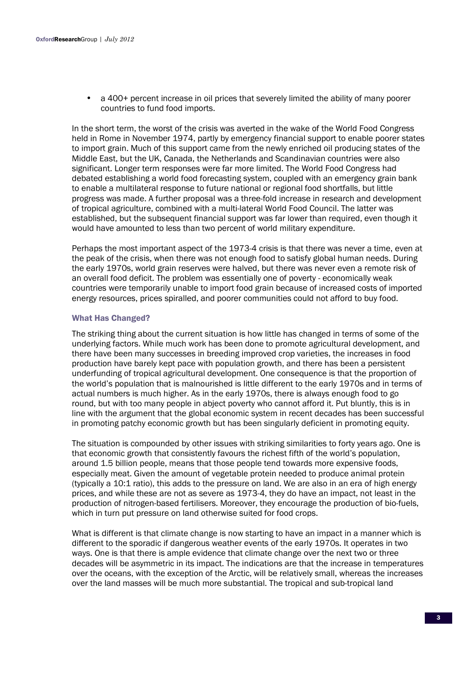• a 400+ percent increase in oil prices that severely limited the ability of many poorer countries to fund food imports.

In the short term, the worst of the crisis was averted in the wake of the World Food Congress held in Rome in November 1974, partly by emergency financial support to enable poorer states to import grain. Much of this support came from the newly enriched oil producing states of the Middle East, but the UK, Canada, the Netherlands and Scandinavian countries were also significant. Longer term responses were far more limited. The World Food Congress had debated establishing a world food forecasting system, coupled with an emergency grain bank to enable a multilateral response to future national or regional food shortfalls, but little progress was made. A further proposal was a three-fold increase in research and development of tropical agriculture, combined with a multi-lateral World Food Council. The latter was established, but the subsequent financial support was far lower than required, even though it would have amounted to less than two percent of world military expenditure.

Perhaps the most important aspect of the 1973-4 crisis is that there was never a time, even at the peak of the crisis, when there was not enough food to satisfy global human needs. During the early 1970s, world grain reserves were halved, but there was never even a remote risk of an overall food deficit. The problem was essentially one of poverty - economically weak countries were temporarily unable to import food grain because of increased costs of imported energy resources, prices spiralled, and poorer communities could not afford to buy food.

## What Has Changed?

The striking thing about the current situation is how little has changed in terms of some of the underlying factors. While much work has been done to promote agricultural development, and there have been many successes in breeding improved crop varieties, the increases in food production have barely kept pace with population growth, and there has been a persistent underfunding of tropical agricultural development. One consequence is that the proportion of the world's population that is malnourished is little different to the early 1970s and in terms of actual numbers is much higher. As in the early 1970s, there is always enough food to go round, but with too many people in abject poverty who cannot afford it. Put bluntly, this is in line with the argument that the global economic system in recent decades has been successful in promoting patchy economic growth but has been singularly deficient in promoting equity.

The situation is compounded by other issues with striking similarities to forty years ago. One is that economic growth that consistently favours the richest fifth of the world's population, around 1.5 billion people, means that those people tend towards more expensive foods, especially meat. Given the amount of vegetable protein needed to produce animal protein (typically a 10:1 ratio), this adds to the pressure on land. We are also in an era of high energy prices, and while these are not as severe as 1973-4, they do have an impact, not least in the production of nitrogen-based fertilisers. Moreover, they encourage the production of bio-fuels, which in turn put pressure on land otherwise suited for food crops.

What is different is that climate change is now starting to have an impact in a manner which is different to the sporadic if dangerous weather events of the early 1970s. It operates in two ways. One is that there is ample evidence that climate change over the next two or three decades will be asymmetric in its impact. The indications are that the increase in temperatures over the oceans, with the exception of the Arctic, will be relatively small, whereas the increases over the land masses will be much more substantial. The tropical and sub-tropical land